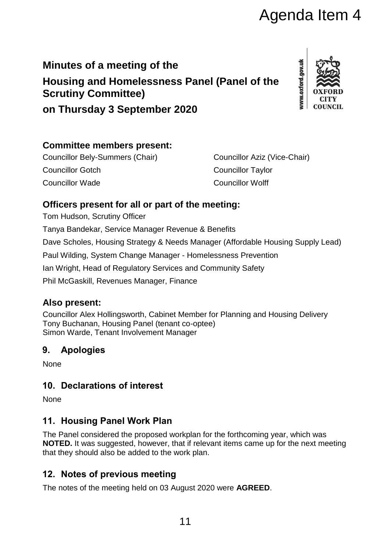# **Minutes of a meeting of the Housing and Homelessness Panel (Panel of the Scrutiny Committee) on Thursday 3 September 2020**



# **Committee members present:**

Councillor Bely-Summers (Chair) Councillor Aziz (Vice-Chair) Councillor Gotch Councillor Taylor Councillor Wade Councillor Wolff

### **Officers present for all or part of the meeting:**

Tom Hudson, Scrutiny Officer

Tanya Bandekar, Service Manager Revenue & Benefits Dave Scholes, Housing Strategy & Needs Manager (Affordable Housing Supply Lead) Paul Wilding, System Change Manager - Homelessness Prevention Ian Wright, Head of Regulatory Services and Community Safety Phil McGaskill, Revenues Manager, Finance Agenda Item 4<br>
Spannel (Pannel of the<br>
Spannel (Pannel of the<br>
Spannel (Pannel of the<br>
Spannel Councillor Aziz (Vice-Chair)<br>
Councillor Taylor<br>
Councillor Taylor<br>
Councillor Taylor<br>
Councillor Taylor<br>
Councillor Taylor<br>
Co

## **Also present:**

Councillor Alex Hollingsworth, Cabinet Member for Planning and Housing Delivery Tony Buchanan, Housing Panel (tenant co-optee) Simon Warde, Tenant Involvement Manager

## **9. Apologies**

**None** 

## **10. Declarations of interest**

**None** 

## **11. Housing Panel Work Plan**

The Panel considered the proposed workplan for the forthcoming year, which was **NOTED.** It was suggested, however, that if relevant items came up for the next meeting that they should also be added to the work plan.

## **12. Notes of previous meeting**

The notes of the meeting held on 03 August 2020 were **AGREED**.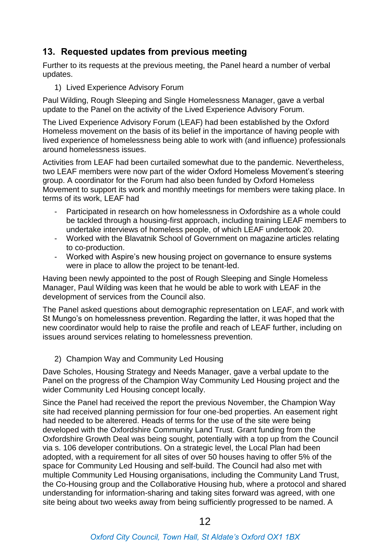### **13. Requested updates from previous meeting**

Further to its requests at the previous meeting, the Panel heard a number of verbal updates.

1) Lived Experience Advisory Forum

Paul Wilding, Rough Sleeping and Single Homelessness Manager, gave a verbal update to the Panel on the activity of the Lived Experience Advisory Forum.

The Lived Experience Advisory Forum (LEAF) had been established by the Oxford Homeless movement on the basis of its belief in the importance of having people with lived experience of homelessness being able to work with (and influence) professionals around homelessness issues.

Activities from LEAF had been curtailed somewhat due to the pandemic. Nevertheless, two LEAF members were now part of the wider Oxford Homeless Movement's steering group. A coordinator for the Forum had also been funded by Oxford Homeless Movement to support its work and monthly meetings for members were taking place. In terms of its work, LEAF had

- Participated in research on how homelessness in Oxfordshire as a whole could be tackled through a housing-first approach, including training LEAF members to undertake interviews of homeless people, of which LEAF undertook 20.
- Worked with the Blavatnik School of Government on magazine articles relating to co-production.
- Worked with Aspire's new housing project on governance to ensure systems were in place to allow the project to be tenant-led.

Having been newly appointed to the post of Rough Sleeping and Single Homeless Manager, Paul Wilding was keen that he would be able to work with LEAF in the development of services from the Council also.

The Panel asked questions about demographic representation on LEAF, and work with St Mungo's on homelessness prevention. Regarding the latter, it was hoped that the new coordinator would help to raise the profile and reach of LEAF further, including on issues around services relating to homelessness prevention.

2) Champion Way and Community Led Housing

Dave Scholes, Housing Strategy and Needs Manager, gave a verbal update to the Panel on the progress of the Champion Way Community Led Housing project and the wider Community Led Housing concept locally.

Since the Panel had received the report the previous November, the Champion Way site had received planning permission for four one-bed properties. An easement right had needed to be alterered. Heads of terms for the use of the site were being developed with the Oxfordshire Community Land Trust. Grant funding from the Oxfordshire Growth Deal was being sought, potentially with a top up from the Council via s. 106 developer contributions. On a strategic level, the Local Plan had been adopted, with a requirement for all sites of over 50 houses having to offer 5% of the space for Community Led Housing and self-build. The Council had also met with multiple Community Led Housing organisations, including the Community Land Trust, the Co-Housing group and the Collaborative Housing hub, where a protocol and shared understanding for information-sharing and taking sites forward was agreed, with one site being about two weeks away from being sufficiently progressed to be named. A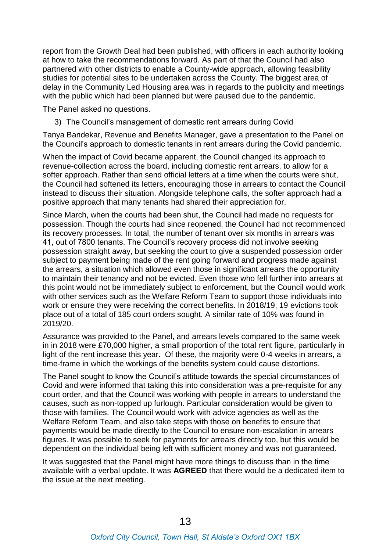report from the Growth Deal had been published, with officers in each authority looking at how to take the recommendations forward. As part of that the Council had also partnered with other districts to enable a County-wide approach, allowing feasibility studies for potential sites to be undertaken across the County. The biggest area of delay in the Community Led Housing area was in regards to the publicity and meetings with the public which had been planned but were paused due to the pandemic.

The Panel asked no questions.

3) The Council's management of domestic rent arrears during Covid

Tanya Bandekar, Revenue and Benefits Manager, gave a presentation to the Panel on the Council's approach to domestic tenants in rent arrears during the Covid pandemic.

When the impact of Covid became apparent, the Council changed its approach to revenue-collection across the board, including domestic rent arrears, to allow for a softer approach. Rather than send official letters at a time when the courts were shut, the Council had softened its letters, encouraging those in arrears to contact the Council instead to discuss their situation. Alongside telephone calls, the softer approach had a positive approach that many tenants had shared their appreciation for.

Since March, when the courts had been shut, the Council had made no requests for possession. Though the courts had since reopened, the Council had not recommenced its recovery processes. In total, the number of tenant over six months in arrears was 41, out of 7800 tenants. The Council's recovery process did not involve seeking possession straight away, but seeking the court to give a suspended possession order subject to payment being made of the rent going forward and progress made against the arrears, a situation which allowed even those in significant arrears the opportunity to maintain their tenancy and not be evicted. Even those who fell further into arrears at this point would not be immediately subject to enforcement, but the Council would work with other services such as the Welfare Reform Team to support those individuals into work or ensure they were receiving the correct benefits. In 2018/19, 19 evictions took place out of a total of 185 court orders sought. A similar rate of 10% was found in 2019/20.

Assurance was provided to the Panel, and arrears levels compared to the same week in in 2018 were £70,000 higher, a small proportion of the total rent figure, particularly in light of the rent increase this year. Of these, the majority were 0-4 weeks in arrears, a time-frame in which the workings of the benefits system could cause distortions.

The Panel sought to know the Council's attitude towards the special circumstances of Covid and were informed that taking this into consideration was a pre-requisite for any court order, and that the Council was working with people in arrears to understand the causes, such as non-topped up furlough. Particular consideration would be given to those with families. The Council would work with advice agencies as well as the Welfare Reform Team, and also take steps with those on benefits to ensure that payments would be made directly to the Council to ensure non-escalation in arrears figures. It was possible to seek for payments for arrears directly too, but this would be dependent on the individual being left with sufficient money and was not guaranteed.

It was suggested that the Panel might have more things to discuss than in the time available with a verbal update. It was **AGREED** that there would be a dedicated item to the issue at the next meeting.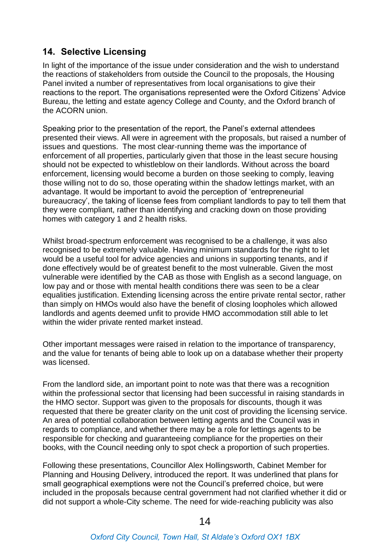### **14. Selective Licensing**

In light of the importance of the issue under consideration and the wish to understand the reactions of stakeholders from outside the Council to the proposals, the Housing Panel invited a number of representatives from local organisations to give their reactions to the report. The organisations represented were the Oxford Citizens' Advice Bureau, the letting and estate agency College and County, and the Oxford branch of the ACORN union.

Speaking prior to the presentation of the report, the Panel's external attendees presented their views. All were in agreement with the proposals, but raised a number of issues and questions. The most clear-running theme was the importance of enforcement of all properties, particularly given that those in the least secure housing should not be expected to whistleblow on their landlords. Without across the board enforcement, licensing would become a burden on those seeking to comply, leaving those willing not to do so, those operating within the shadow lettings market, with an advantage. It would be important to avoid the perception of 'entrepreneurial bureaucracy', the taking of license fees from compliant landlords to pay to tell them that they were compliant, rather than identifying and cracking down on those providing homes with category 1 and 2 health risks.

Whilst broad-spectrum enforcement was recognised to be a challenge, it was also recognised to be extremely valuable. Having minimum standards for the right to let would be a useful tool for advice agencies and unions in supporting tenants, and if done effectively would be of greatest benefit to the most vulnerable. Given the most vulnerable were identified by the CAB as those with English as a second language, on low pay and or those with mental health conditions there was seen to be a clear equalities justification. Extending licensing across the entire private rental sector, rather than simply on HMOs would also have the benefit of closing loopholes which allowed landlords and agents deemed unfit to provide HMO accommodation still able to let within the wider private rented market instead.

Other important messages were raised in relation to the importance of transparency, and the value for tenants of being able to look up on a database whether their property was licensed.

From the landlord side, an important point to note was that there was a recognition within the professional sector that licensing had been successful in raising standards in the HMO sector. Support was given to the proposals for discounts, though it was requested that there be greater clarity on the unit cost of providing the licensing service. An area of potential collaboration between letting agents and the Council was in regards to compliance, and whether there may be a role for lettings agents to be responsible for checking and guaranteeing compliance for the properties on their books, with the Council needing only to spot check a proportion of such properties.

Following these presentations, Councillor Alex Hollingsworth, Cabinet Member for Planning and Housing Delivery, introduced the report. It was underlined that plans for small geographical exemptions were not the Council's preferred choice, but were included in the proposals because central government had not clarified whether it did or did not support a whole-City scheme. The need for wide-reaching publicity was also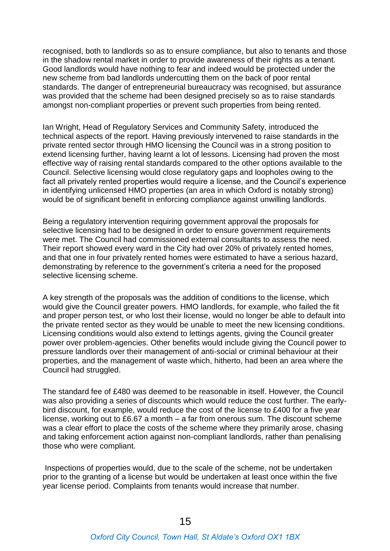recognised, both to landlords so as to ensure compliance, but also to tenants and those in the shadow rental market in order to provide awareness of their rights as a tenant. Good landlords would have nothing to fear and indeed would be protected under the new scheme from bad landlords undercutting them on the back of poor rental standards. The danger of entrepreneurial bureaucracy was recognised, but assurance was provided that the scheme had been designed precisely so as to raise standards amongst non-compliant properties or prevent such properties from being rented.

Ian Wright, Head of Regulatory Services and Community Safety, introduced the technical aspects of the report. Having previously intervened to raise standards in the private rented sector through HMO licensing the Council was in a strong position to extend licensing further, having learnt a lot of lessons. Licensing had proven the most effective way of raising rental standards compared to the other options available to the Council. Selective licensing would close regulatory gaps and loopholes owing to the fact all privately rented properties would require a license, and the Council's experience in identifying unlicensed HMO properties (an area in which Oxford is notably strong) would be of significant benefit in enforcing compliance against unwilling landlords.

Being a regulatory intervention requiring government approval the proposals for selective licensing had to be designed in order to ensure government requirements were met. The Council had commissioned external consultants to assess the need. Their report showed every ward in the City had over 20% of privately rented homes, and that one in four privately rented homes were estimated to have a serious hazard, demonstrating by reference to the government's criteria a need for the proposed selective licensing scheme.

A key strength of the proposals was the addition of conditions to the license, which would give the Council greater powers. HMO landlords, for example, who failed the fit and proper person test, or who lost their license, would no longer be able to default into the private rented sector as they would be unable to meet the new licensing conditions. Licensing conditions would also extend to lettings agents, giving the Council greater power over problem-agencies. Other benefits would include giving the Council power to pressure landlords over their management of anti-social or criminal behaviour at their properties, and the management of waste which, hitherto, had been an area where the Council had struggled.

The standard fee of £480 was deemed to be reasonable in itself. However, the Council was also providing a series of discounts which would reduce the cost further. The earlybird discount, for example, would reduce the cost of the license to £400 for a five year license, working out to £6.67 a month – a far from onerous sum. The discount scheme was a clear effort to place the costs of the scheme where they primarily arose, chasing and taking enforcement action against non-compliant landlords, rather than penalising those who were compliant.

Inspections of properties would, due to the scale of the scheme, not be undertaken prior to the granting of a license but would be undertaken at least once within the five year license period. Complaints from tenants would increase that number.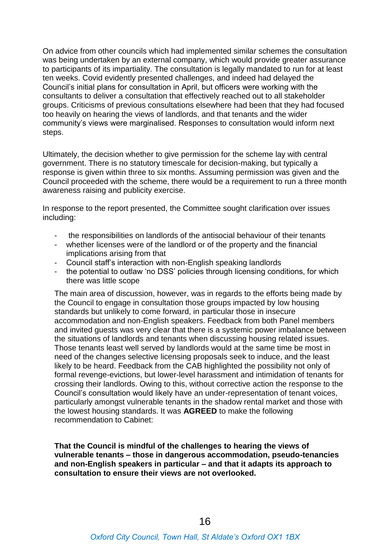On advice from other councils which had implemented similar schemes the consultation was being undertaken by an external company, which would provide greater assurance to participants of its impartiality. The consultation is legally mandated to run for at least ten weeks. Covid evidently presented challenges, and indeed had delayed the Council's initial plans for consultation in April, but officers were working with the consultants to deliver a consultation that effectively reached out to all stakeholder groups. Criticisms of previous consultations elsewhere had been that they had focused too heavily on hearing the views of landlords, and that tenants and the wider community's views were marginalised. Responses to consultation would inform next steps.

Ultimately, the decision whether to give permission for the scheme lay with central government. There is no statutory timescale for decision-making, but typically a response is given within three to six months. Assuming permission was given and the Council proceeded with the scheme, there would be a requirement to run a three month awareness raising and publicity exercise.

In response to the report presented, the Committee sought clarification over issues including:

- the responsibilities on landlords of the antisocial behaviour of their tenants
- whether licenses were of the landlord or of the property and the financial implications arising from that
- Council staff's interaction with non-English speaking landlords
- the potential to outlaw 'no DSS' policies through licensing conditions, for which there was little scope

The main area of discussion, however, was in regards to the efforts being made by the Council to engage in consultation those groups impacted by low housing standards but unlikely to come forward, in particular those in insecure accommodation and non-English speakers. Feedback from both Panel members and invited guests was very clear that there is a systemic power imbalance between the situations of landlords and tenants when discussing housing related issues. Those tenants least well served by landlords would at the same time be most in need of the changes selective licensing proposals seek to induce, and the least likely to be heard. Feedback from the CAB highlighted the possibility not only of formal revenge-evictions, but lower-level harassment and intimidation of tenants for crossing their landlords. Owing to this, without corrective action the response to the Council's consultation would likely have an under-representation of tenant voices, particularly amongst vulnerable tenants in the shadow rental market and those with the lowest housing standards. It was **AGREED** to make the following recommendation to Cabinet:

**That the Council is mindful of the challenges to hearing the views of vulnerable tenants – those in dangerous accommodation, pseudo-tenancies and non-English speakers in particular – and that it adapts its approach to consultation to ensure their views are not overlooked.**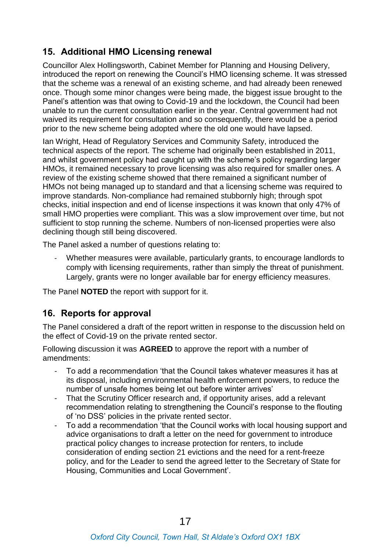## **15. Additional HMO Licensing renewal**

Councillor Alex Hollingsworth, Cabinet Member for Planning and Housing Delivery, introduced the report on renewing the Council's HMO licensing scheme. It was stressed that the scheme was a renewal of an existing scheme, and had already been renewed once. Though some minor changes were being made, the biggest issue brought to the Panel's attention was that owing to Covid-19 and the lockdown, the Council had been unable to run the current consultation earlier in the year. Central government had not waived its requirement for consultation and so consequently, there would be a period prior to the new scheme being adopted where the old one would have lapsed.

Ian Wright, Head of Regulatory Services and Community Safety, introduced the technical aspects of the report. The scheme had originally been established in 2011, and whilst government policy had caught up with the scheme's policy regarding larger HMOs, it remained necessary to prove licensing was also required for smaller ones. A review of the existing scheme showed that there remained a significant number of HMOs not being managed up to standard and that a licensing scheme was required to improve standards. Non-compliance had remained stubbornly high; through spot checks, initial inspection and end of license inspections it was known that only 47% of small HMO properties were compliant. This was a slow improvement over time, but not sufficient to stop running the scheme. Numbers of non-licensed properties were also declining though still being discovered.

The Panel asked a number of questions relating to:

Whether measures were available, particularly grants, to encourage landlords to comply with licensing requirements, rather than simply the threat of punishment. Largely, grants were no longer available bar for energy efficiency measures.

The Panel **NOTED** the report with support for it.

#### **16. Reports for approval**

The Panel considered a draft of the report written in response to the discussion held on the effect of Covid-19 on the private rented sector.

Following discussion it was **AGREED** to approve the report with a number of amendments:

- To add a recommendation 'that the Council takes whatever measures it has at its disposal, including environmental health enforcement powers, to reduce the number of unsafe homes being let out before winter arrives'
- That the Scrutiny Officer research and, if opportunity arises, add a relevant recommendation relating to strengthening the Council's response to the flouting of 'no DSS' policies in the private rented sector.
- To add a recommendation 'that the Council works with local housing support and advice organisations to draft a letter on the need for government to introduce practical policy changes to increase protection for renters, to include consideration of ending section 21 evictions and the need for a rent-freeze policy, and for the Leader to send the agreed letter to the Secretary of State for Housing, Communities and Local Government'.